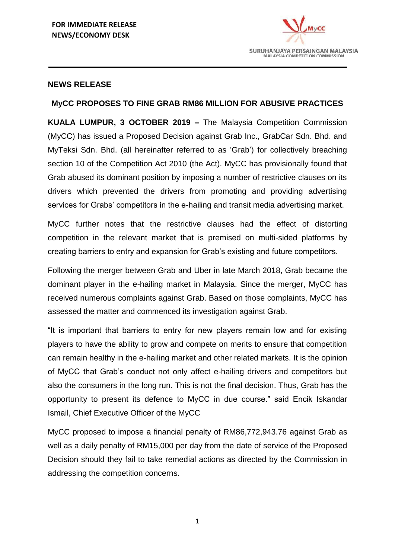

#### **NEWS RELEASE**

#### **MyCC PROPOSES TO FINE GRAB RM86 MILLION FOR ABUSIVE PRACTICES**

**KUALA LUMPUR, 3 OCTOBER 2019 –** The Malaysia Competition Commission (MyCC) has issued a Proposed Decision against Grab Inc., GrabCar Sdn. Bhd. and MyTeksi Sdn. Bhd. (all hereinafter referred to as 'Grab') for collectively breaching section 10 of the Competition Act 2010 (the Act). MyCC has provisionally found that Grab abused its dominant position by imposing a number of restrictive clauses on its drivers which prevented the drivers from promoting and providing advertising services for Grabs' competitors in the e-hailing and transit media advertising market.

MyCC further notes that the restrictive clauses had the effect of distorting competition in the relevant market that is premised on multi-sided platforms by creating barriers to entry and expansion for Grab's existing and future competitors.

Following the merger between Grab and Uber in late March 2018, Grab became the dominant player in the e-hailing market in Malaysia. Since the merger, MyCC has received numerous complaints against Grab. Based on those complaints, MyCC has assessed the matter and commenced its investigation against Grab.

"It is important that barriers to entry for new players remain low and for existing players to have the ability to grow and compete on merits to ensure that competition can remain healthy in the e-hailing market and other related markets. It is the opinion of MyCC that Grab's conduct not only affect e-hailing drivers and competitors but also the consumers in the long run. This is not the final decision. Thus, Grab has the opportunity to present its defence to MyCC in due course." said Encik Iskandar Ismail, Chief Executive Officer of the MyCC

MyCC proposed to impose a financial penalty of RM86,772,943.76 against Grab as well as a daily penalty of RM15,000 per day from the date of service of the Proposed Decision should they fail to take remedial actions as directed by the Commission in addressing the competition concerns.

1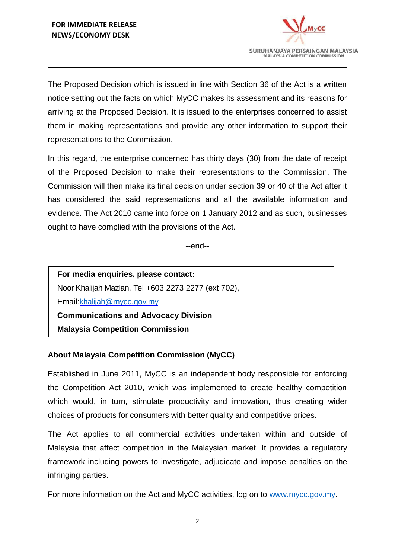

The Proposed Decision which is issued in line with Section 36 of the Act is a written notice setting out the facts on which MyCC makes its assessment and its reasons for arriving at the Proposed Decision. It is issued to the enterprises concerned to assist them in making representations and provide any other information to support their representations to the Commission.

In this regard, the enterprise concerned has thirty days (30) from the date of receipt of the Proposed Decision to make their representations to the Commission. The Commission will then make its final decision under section 39 or 40 of the Act after it has considered the said representations and all the available information and evidence. The Act 2010 came into force on 1 January 2012 and as such, businesses ought to have complied with the provisions of the Act.

--end--

**For media enquiries, please contact:** Noor Khalijah Mazlan, Tel +603 2273 2277 (ext 702), Email[:khalijah@mycc.gov.my](mailto:khalijah@mycc.gov.my) **Communications and Advocacy Division Malaysia Competition Commission**

# **About Malaysia Competition Commission (MyCC)**

Established in June 2011, MyCC is an independent body responsible for enforcing the Competition Act 2010, which was implemented to create healthy competition which would, in turn, stimulate productivity and innovation, thus creating wider choices of products for consumers with better quality and competitive prices.

The Act applies to all commercial activities undertaken within and outside of Malaysia that affect competition in the Malaysian market. It provides a regulatory framework including powers to investigate, adjudicate and impose penalties on the infringing parties.

For more information on the Act and MyCC activities, log on to [www.mycc.gov.my.](http://www.mycc.gov.my/)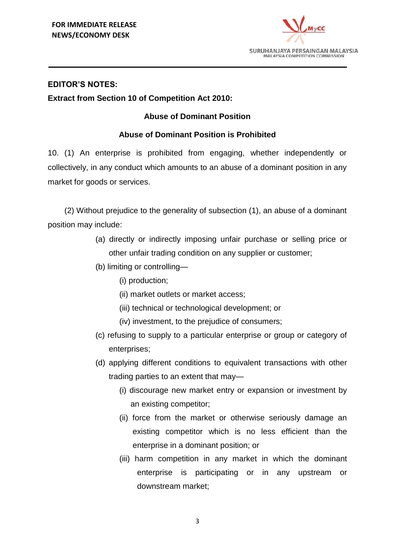

### **EDITOR'S NOTES:**

### **Extract from Section 10 of Competition Act 2010:**

# **Abuse of Dominant Position**

# **Abuse of Dominant Position is Prohibited**

10. (1) An enterprise is prohibited from engaging, whether independently or collectively, in any conduct which amounts to an abuse of a dominant position in any market for goods or services.

(2) Without prejudice to the generality of subsection (1), an abuse of a dominant position may include:

- (a) directly or indirectly imposing unfair purchase or selling price or other unfair trading condition on any supplier or customer;
- (b) limiting or controlling—
	- (i) production;
	- (ii) market outlets or market access;
	- (iii) technical or technological development; or
	- (iv) investment, to the prejudice of consumers;
- (c) refusing to supply to a particular enterprise or group or category of enterprises;
- (d) applying different conditions to equivalent transactions with other trading parties to an extent that may—
	- (i) discourage new market entry or expansion or investment by an existing competitor;
	- (ii) force from the market or otherwise seriously damage an existing competitor which is no less efficient than the enterprise in a dominant position; or
	- (iii) harm competition in any market in which the dominant enterprise is participating or in any upstream or downstream market;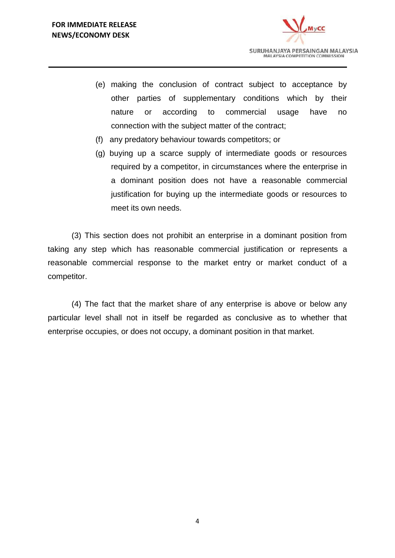

- (e) making the conclusion of contract subject to acceptance by other parties of supplementary conditions which by their nature or according to commercial usage have no connection with the subject matter of the contract;
- (f) any predatory behaviour towards competitors; or
- (g) buying up a scarce supply of intermediate goods or resources required by a competitor, in circumstances where the enterprise in a dominant position does not have a reasonable commercial justification for buying up the intermediate goods or resources to meet its own needs.

(3) This section does not prohibit an enterprise in a dominant position from taking any step which has reasonable commercial justification or represents a reasonable commercial response to the market entry or market conduct of a competitor.

(4) The fact that the market share of any enterprise is above or below any particular level shall not in itself be regarded as conclusive as to whether that enterprise occupies, or does not occupy, a dominant position in that market.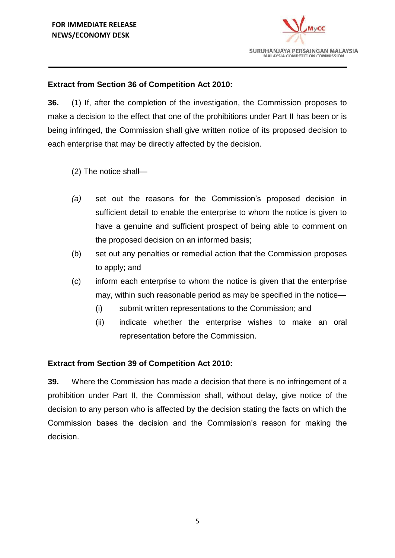

# **Extract from Section 36 of Competition Act 2010:**

**36.** (1) If, after the completion of the investigation, the Commission proposes to make a decision to the effect that one of the prohibitions under Part II has been or is being infringed, the Commission shall give written notice of its proposed decision to each enterprise that may be directly affected by the decision.

- (2) The notice shall—
- *(a)* set out the reasons for the Commission's proposed decision in sufficient detail to enable the enterprise to whom the notice is given to have a genuine and sufficient prospect of being able to comment on the proposed decision on an informed basis;
- (b) set out any penalties or remedial action that the Commission proposes to apply; and
- (c) inform each enterprise to whom the notice is given that the enterprise may, within such reasonable period as may be specified in the notice—
	- (i) submit written representations to the Commission; and
	- (ii) indicate whether the enterprise wishes to make an oral representation before the Commission.

#### **Extract from Section 39 of Competition Act 2010:**

**39.** Where the Commission has made a decision that there is no infringement of a prohibition under Part II, the Commission shall, without delay, give notice of the decision to any person who is affected by the decision stating the facts on which the Commission bases the decision and the Commission's reason for making the decision.